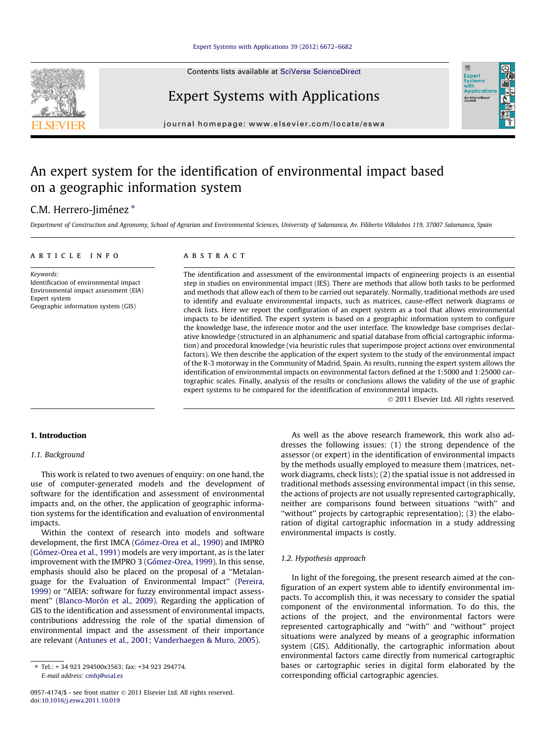Contents lists available at [SciVerse ScienceDirect](http://www.sciencedirect.com/science/journal/09574174)



Expert Systems with Applications

journal homepage: [www.elsevier.com/locate/eswa](http://www.elsevier.com/locate/eswa)

## An expert system for the identification of environmental impact based on a geographic information system

## C.M. Herrero-Jiménez \*

Department of Construction and Agronomy, School of Agrarian and Environmental Sciences, University of Salamanca, Av. Filiberto Villalobos 119, 37007 Salamanca, Spain

## article info

Keywords: Identification of environmental impact Environmental impact assessment (EIA) Expert system Geographic information system (GIS)

## ABSTRACT

The identification and assessment of the environmental impacts of engineering projects is an essential step in studies on environmental impact (IES). There are methods that allow both tasks to be performed and methods that allow each of them to be carried out separately. Normally, traditional methods are used to identify and evaluate environmental impacts, such as matrices, cause-effect network diagrams or check lists. Here we report the configuration of an expert system as a tool that allows environmental impacts to be identified. The expert system is based on a geographic information system to configure the knowledge base, the inference motor and the user interface. The knowledge base comprises declarative knowledge (structured in an alphanumeric and spatial database from official cartographic information) and procedural knowledge (via heuristic rules that superimpose project actions over environmental factors). We then describe the application of the expert system to the study of the environmental impact of the R-3 motorway in the Community of Madrid, Spain. As results, running the expert system allows the identification of environmental impacts on environmental factors defined at the 1:5000 and 1:25000 cartographic scales. Finally, analysis of the results or conclusions allows the validity of the use of graphic expert systems to be compared for the identification of environmental impacts.

- 2011 Elsevier Ltd. All rights reserved.

Exper<br>Syste wim<br>Applicatio An Inter

## 1. Introduction

## 1.1. Background

This work is related to two avenues of enquiry: on one hand, the use of computer-generated models and the development of software for the identification and assessment of environmental impacts and, on the other, the application of geographic information systems for the identification and evaluation of environmental impacts.

Within the context of research into models and software development, the first IMCA ([Gómez-Orea et al., 1990](#page--1-0)) and IMPRO ([Gómez-Orea et al., 1991\)](#page--1-0) models are very important, as is the later improvement with the IMPRO 3 ([Gómez-Orea, 1999](#page--1-0)). In this sense, emphasis should also be placed on the proposal of a ''Metalanguage for the Evaluation of Environmental Impact'' [\(Pereira,](#page--1-0) [1999\)](#page--1-0) or ''AIEIA: software for fuzzy environmental impact assessment'' [\(Blanco-Morón et al., 2009](#page--1-0)). Regarding the application of GIS to the identification and assessment of environmental impacts, contributions addressing the role of the spatial dimension of environmental impact and the assessment of their importance are relevant ([Antunes et al., 2001; Vanderhaegen & Muro, 2005](#page--1-0)).

As well as the above research framework, this work also addresses the following issues: (1) the strong dependence of the assessor (or expert) in the identification of environmental impacts by the methods usually employed to measure them (matrices, network diagrams, check lists); (2) the spatial issue is not addressed in traditional methods assessing environmental impact (in this sense, the actions of projects are not usually represented cartographically, neither are comparisons found between situations ''with'' and ''without'' projects by cartographic representation); (3) the elaboration of digital cartographic information in a study addressing environmental impacts is costly.

## 1.2. Hypothesis approach

In light of the foregoing, the present research aimed at the configuration of an expert system able to identify environmental impacts. To accomplish this, it was necessary to consider the spatial component of the environmental information. To do this, the actions of the project, and the environmental factors were represented cartographically and ''with'' and ''without'' project situations were analyzed by means of a geographic information system (GIS). Additionally, the cartographic information about environmental factors came directly from numerical cartographic bases or cartographic series in digital form elaborated by the corresponding official cartographic agencies.

<sup>⇑</sup> Tel.: + 34 923 294500x3563; fax: +34 923 294774. E-mail address: [cmhj@usal.es](mailto:cmhj@usal.es)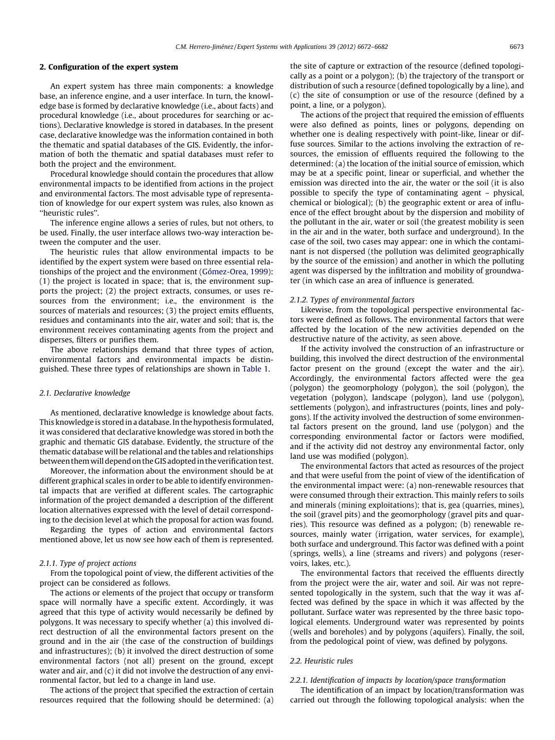## 2. Configuration of the expert system

An expert system has three main components: a knowledge base, an inference engine, and a user interface. In turn, the knowledge base is formed by declarative knowledge (i.e., about facts) and procedural knowledge (i.e., about procedures for searching or actions). Declarative knowledge is stored in databases. In the present case, declarative knowledge was the information contained in both the thematic and spatial databases of the GIS. Evidently, the information of both the thematic and spatial databases must refer to both the project and the environment.

Procedural knowledge should contain the procedures that allow environmental impacts to be identified from actions in the project and environmental factors. The most advisable type of representation of knowledge for our expert system was rules, also known as ''heuristic rules''.

The inference engine allows a series of rules, but not others, to be used. Finally, the user interface allows two-way interaction between the computer and the user.

The heuristic rules that allow environmental impacts to be identified by the expert system were based on three essential relationships of the project and the environment [\(Gómez-Orea, 1999\)](#page--1-0): (1) the project is located in space; that is, the environment supports the project; (2) the project extracts, consumes, or uses resources from the environment; i.e., the environment is the sources of materials and resources; (3) the project emits effluents, residues and contaminants into the air, water and soil; that is, the environment receives contaminating agents from the project and disperses, filters or purifies them.

The above relationships demand that three types of action, environmental factors and environmental impacts be distinguished. These three types of relationships are shown in [Table 1](#page--1-0).

#### 2.1. Declarative knowledge

As mentioned, declarative knowledge is knowledge about facts. This knowledge is stored in a database. In the hypothesis formulated, it was considered that declarative knowledge was stored in both the graphic and thematic GIS database. Evidently, the structure of the thematic database will be relational and the tables and relationships between themwill depend on the GIS adopted in the verification test.

Moreover, the information about the environment should be at different graphical scales in order to be able to identify environmental impacts that are verified at different scales. The cartographic information of the project demanded a description of the different location alternatives expressed with the level of detail corresponding to the decision level at which the proposal for action was found.

Regarding the types of action and environmental factors mentioned above, let us now see how each of them is represented.

#### 2.1.1. Type of project actions

From the topological point of view, the different activities of the project can be considered as follows.

The actions or elements of the project that occupy or transform space will normally have a specific extent. Accordingly, it was agreed that this type of activity would necessarily be defined by polygons. It was necessary to specify whether (a) this involved direct destruction of all the environmental factors present on the ground and in the air (the case of the construction of buildings and infrastructures); (b) it involved the direct destruction of some environmental factors (not all) present on the ground, except water and air, and (c) it did not involve the destruction of any environmental factor, but led to a change in land use.

The actions of the project that specified the extraction of certain resources required that the following should be determined: (a)

the site of capture or extraction of the resource (defined topologically as a point or a polygon); (b) the trajectory of the transport or distribution of such a resource (defined topologically by a line), and (c) the site of consumption or use of the resource (defined by a point, a line, or a polygon).

The actions of the project that required the emission of effluents were also defined as points, lines or polygons, depending on whether one is dealing respectively with point-like, linear or diffuse sources. Similar to the actions involving the extraction of resources, the emission of effluents required the following to the determined: (a) the location of the initial source of emission, which may be at a specific point, linear or superficial, and whether the emission was directed into the air, the water or the soil (it is also possible to specify the type of contaminating agent – physical, chemical or biological); (b) the geographic extent or area of influence of the effect brought about by the dispersion and mobility of the pollutant in the air, water or soil (the greatest mobility is seen in the air and in the water, both surface and underground). In the case of the soil, two cases may appear: one in which the contaminant is not dispersed (the pollution was delimited geographically by the source of the emission) and another in which the polluting agent was dispersed by the infiltration and mobility of groundwater (in which case an area of influence is generated.

#### 2.1.2. Types of environmental factors

Likewise, from the topological perspective environmental factors were defined as follows. The environmental factors that were affected by the location of the new activities depended on the destructive nature of the activity, as seen above.

If the activity involved the construction of an infrastructure or building, this involved the direct destruction of the environmental factor present on the ground (except the water and the air). Accordingly, the environmental factors affected were the gea (polygon) the geomorphology (polygon), the soil (polygon), the vegetation (polygon), landscape (polygon), land use (polygon), settlements (polygon), and infrastructures (points, lines and polygons). If the activity involved the destruction of some environmental factors present on the ground, land use (polygon) and the corresponding environmental factor or factors were modified, and if the activity did not destroy any environmental factor, only land use was modified (polygon).

The environmental factors that acted as resources of the project and that were useful from the point of view of the identification of the environmental impact were: (a) non-renewable resources that were consumed through their extraction. This mainly refers to soils and minerals (mining exploitations); that is, gea (quarries, mines), the soil (gravel pits) and the geomorphology (gravel pits and quarries). This resource was defined as a polygon; (b) renewable resources, mainly water (irrigation, water services, for example), both surface and underground. This factor was defined with a point (springs, wells), a line (streams and rivers) and polygons (reservoirs, lakes, etc.).

The environmental factors that received the effluents directly from the project were the air, water and soil. Air was not represented topologically in the system, such that the way it was affected was defined by the space in which it was affected by the pollutant. Surface water was represented by the three basic topological elements. Underground water was represented by points (wells and boreholes) and by polygons (aquifers). Finally, the soil, from the pedological point of view, was defined by polygons.

#### 2.2. Heuristic rules

## 2.2.1. Identification of impacts by location/space transformation

The identification of an impact by location/transformation was carried out through the following topological analysis: when the